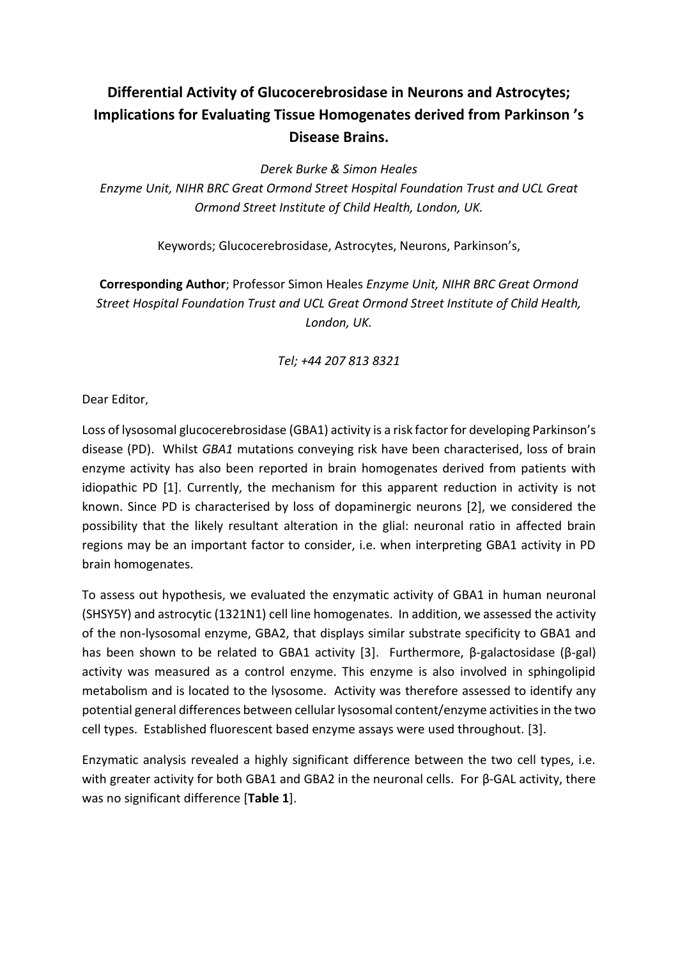## **Differential Activity of Glucocerebrosidase in Neurons and Astrocytes; Implications for Evaluating Tissue Homogenates derived from Parkinson 's Disease Brains.**

*Derek Burke & Simon Heales*

*Enzyme Unit, NIHR BRC Great Ormond Street Hospital Foundation Trust and UCL Great Ormond Street Institute of Child Health, London, UK.*

Keywords; Glucocerebrosidase, Astrocytes, Neurons, Parkinson's,

**Corresponding Author**; Professor Simon Heales *Enzyme Unit, NIHR BRC Great Ormond Street Hospital Foundation Trust and UCL Great Ormond Street Institute of Child Health, London, UK.*

## *Tel; +44 207 813 8321*

Dear Editor,

Loss of lysosomal glucocerebrosidase (GBA1) activity is a risk factor for developing Parkinson's disease (PD). Whilst *GBA1* mutations conveying risk have been characterised, loss of brain enzyme activity has also been reported in brain homogenates derived from patients with idiopathic PD [1]. Currently, the mechanism for this apparent reduction in activity is not known. Since PD is characterised by loss of dopaminergic neurons [2], we considered the possibility that the likely resultant alteration in the glial: neuronal ratio in affected brain regions may be an important factor to consider, i.e. when interpreting GBA1 activity in PD brain homogenates.

To assess out hypothesis, we evaluated the enzymatic activity of GBA1 in human neuronal (SHSY5Y) and astrocytic (1321N1) cell line homogenates. In addition, we assessed the activity of the non-lysosomal enzyme, GBA2, that displays similar substrate specificity to GBA1 and has been shown to be related to GBA1 activity [3]. Furthermore, β-galactosidase (β-gal) activity was measured as a control enzyme. This enzyme is also involved in sphingolipid metabolism and is located to the lysosome. Activity was therefore assessed to identify any potential general differences between cellular lysosomal content/enzyme activities in the two cell types. Established fluorescent based enzyme assays were used throughout. [3].

Enzymatic analysis revealed a highly significant difference between the two cell types, i.e. with greater activity for both GBA1 and GBA2 in the neuronal cells. For β-GAL activity, there was no significant difference [**Table 1**].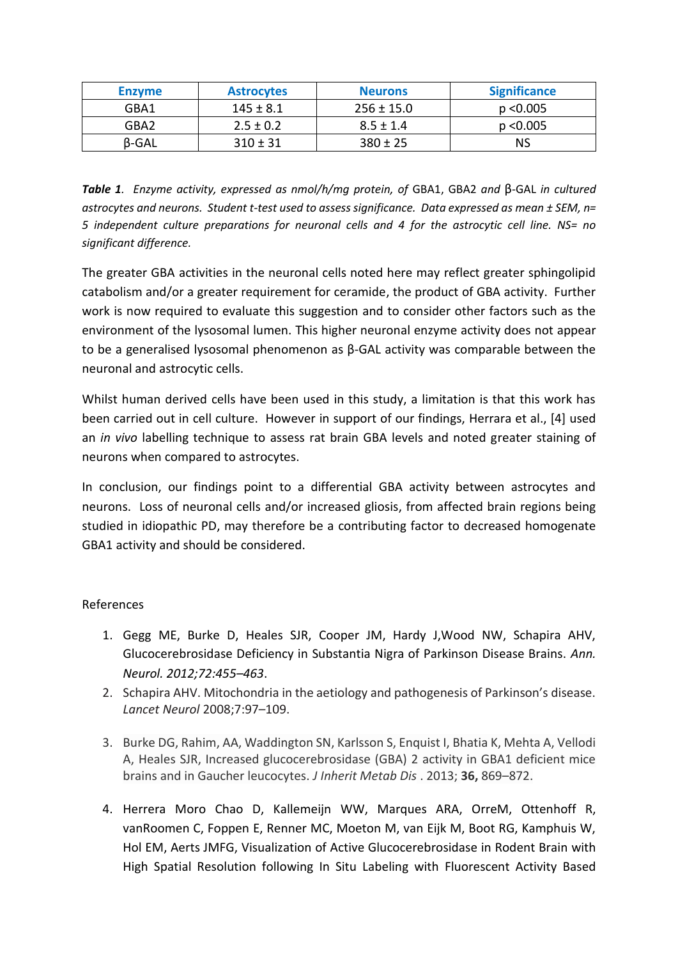| <b>Enzyme</b> | <b>Astrocytes</b> | <b>Neurons</b> | <b>Significance</b> |
|---------------|-------------------|----------------|---------------------|
| GBA1          | $145 \pm 8.1$     | $256 \pm 15.0$ | p < 0.005           |
| GBA2          | $2.5 \pm 0.2$     | $8.5 \pm 1.4$  | p < 0.005           |
| <b>B-GAL</b>  | $310 \pm 31$      | $380 \pm 25$   | NS                  |

*Table 1. Enzyme activity, expressed as nmol/h/mg protein, of* GBA1, GBA2 *and* β*-*GAL *in cultured astrocytes and neurons. Student t-test used to assess significance. Data expressed as mean ± SEM, n= 5 independent culture preparations for neuronal cells and 4 for the astrocytic cell line. NS= no significant difference.*

The greater GBA activities in the neuronal cells noted here may reflect greater sphingolipid catabolism and/or a greater requirement for ceramide, the product of GBA activity. Further work is now required to evaluate this suggestion and to consider other factors such as the environment of the lysosomal lumen. This higher neuronal enzyme activity does not appear to be a generalised lysosomal phenomenon as β-GAL activity was comparable between the neuronal and astrocytic cells.

Whilst human derived cells have been used in this study, a limitation is that this work has been carried out in cell culture. However in support of our findings, Herrara et al., [4] used an *in vivo* labelling technique to assess rat brain GBA levels and noted greater staining of neurons when compared to astrocytes.

In conclusion, our findings point to a differential GBA activity between astrocytes and neurons. Loss of neuronal cells and/or increased gliosis, from affected brain regions being studied in idiopathic PD, may therefore be a contributing factor to decreased homogenate GBA1 activity and should be considered.

## References

- 1. Gegg ME, Burke D, Heales SJR, Cooper JM, Hardy J,Wood NW, Schapira AHV, Glucocerebrosidase Deficiency in Substantia Nigra of Parkinson Disease Brains. *Ann. Neurol. 2012;72:455–463*.
- 2. Schapira AHV. Mitochondria in the aetiology and pathogenesis of Parkinson's disease. *Lancet Neurol* 2008;7:97–109.
- 3. Burke DG, Rahim, AA, Waddington SN, Karlsson S, Enquist I, Bhatia K, Mehta A, Vellodi A, Heales SJR, Increased glucocerebrosidase (GBA) 2 activity in GBA1 deficient mice brains and in Gaucher leucocytes. *J Inherit Metab Dis* . 2013; **36,** 869–872.
- 4. Herrera Moro Chao D, Kallemeijn WW, Marques ARA, OrreM, Ottenhoff R, vanRoomen C, Foppen E, Renner MC, Moeton M, van Eijk M, Boot RG, Kamphuis W, Hol EM, Aerts JMFG, Visualization of Active Glucocerebrosidase in Rodent Brain with High Spatial Resolution following In Situ Labeling with Fluorescent Activity Based